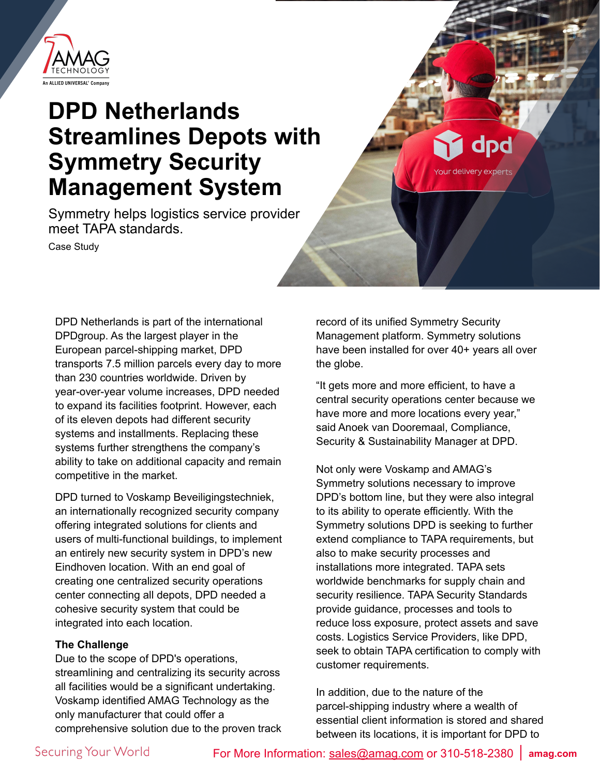

# **DPD Netherlands Streamlines Depots with Symmetry Security Management System**

Symmetry helps logistics service provider meet TAPA standards.

Case Study

DPD Netherlands is part of the international DPDgroup. As the largest player in the European parcel-shipping market, DPD transports 7.5 million parcels every day to more than 230 countries worldwide. Driven by year-over-year volume increases, DPD needed to expand its facilities footprint. However, each of its eleven depots had different security systems and installments. Replacing these systems further strengthens the company's ability to take on additional capacity and remain competitive in the market.

DPD turned to Voskamp Beveiligingstechniek, an internationally recognized security company offering integrated solutions for clients and users of multi-functional buildings, to implement an entirely new security system in DPD's new Eindhoven location. With an end goal of creating one centralized security operations center connecting all depots, DPD needed a cohesive security system that could be integrated into each location.

## **The Challenge**

Due to the scope of DPD's operations, streamlining and centralizing its security across all facilities would be a significant undertaking. Voskamp identified AMAG Technology as the only manufacturer that could offer a comprehensive solution due to the proven track record of its unified Symmetry Security Management platform. Symmetry solutions have been installed for over 40+ years all over the globe.

dpd

"It gets more and more efficient, to have a central security operations center because we have more and more locations every year," said Anoek van Dooremaal, Compliance, Security & Sustainability Manager at DPD.

Not only were Voskamp and AMAG's Symmetry solutions necessary to improve DPD's bottom line, but they were also integral to its ability to operate efficiently. With the Symmetry solutions DPD is seeking to further extend compliance to TAPA requirements, but also to make security processes and installations more integrated. TAPA sets worldwide benchmarks for supply chain and security resilience. TAPA Security Standards provide guidance, processes and tools to reduce loss exposure, protect assets and save costs. Logistics Service Providers, like DPD, seek to obtain TAPA certification to comply with customer requirements.

In addition, due to the nature of the parcel-shipping industry where a wealth of essential client information is stored and shared between its locations, it is important for DPD to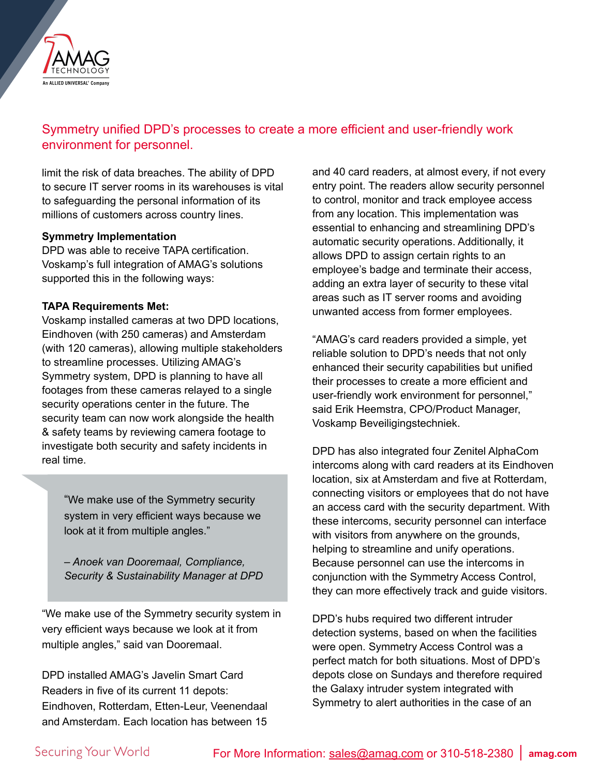

# Symmetry unified DPD's processes to create a more efficient and user-friendly work environment for personnel.

limit the risk of data breaches. The ability of DPD to secure IT server rooms in its warehouses is vital to safeguarding the personal information of its millions of customers across country lines.

#### **Symmetry Implementation**

DPD was able to receive TAPA certification. Voskamp's full integration of AMAG's solutions supported this in the following ways:

#### **TAPA Requirements Met:**

Voskamp installed cameras at two DPD locations, Eindhoven (with 250 cameras) and Amsterdam (with 120 cameras), allowing multiple stakeholders to streamline processes. Utilizing AMAG's Symmetry system, DPD is planning to have all footages from these cameras relayed to a single security operations center in the future. The security team can now work alongside the health & safety teams by reviewing camera footage to investigate both security and safety incidents in real time.

"We make use of the Symmetry security system in very efficient ways because we look at it from multiple angles."

*– Anoek van Dooremaal, Compliance, Security & Sustainability Manager at DPD*

"We make use of the Symmetry security system in very efficient ways because we look at it from multiple angles," said van Dooremaal.

DPD installed AMAG's Javelin Smart Card Readers in five of its current 11 depots: Eindhoven, Rotterdam, Etten-Leur, Veenendaal and Amsterdam. Each location has between 15

and 40 card readers, at almost every, if not every entry point. The readers allow security personnel to control, monitor and track employee access from any location. This implementation was essential to enhancing and streamlining DPD's automatic security operations. Additionally, it allows DPD to assign certain rights to an employee's badge and terminate their access, adding an extra layer of security to these vital areas such as IT server rooms and avoiding unwanted access from former employees.

"AMAG's card readers provided a simple, yet reliable solution to DPD's needs that not only enhanced their security capabilities but unified their processes to create a more efficient and user-friendly work environment for personnel," said Erik Heemstra, CPO/Product Manager, Voskamp Beveiligingstechniek.

DPD has also integrated four Zenitel AlphaCom intercoms along with card readers at its Eindhoven location, six at Amsterdam and five at Rotterdam, connecting visitors or employees that do not have an access card with the security department. With these intercoms, security personnel can interface with visitors from anywhere on the grounds, helping to streamline and unify operations. Because personnel can use the intercoms in conjunction with the Symmetry Access Control, they can more effectively track and guide visitors.

DPD's hubs required two different intruder detection systems, based on when the facilities were open. Symmetry Access Control was a perfect match for both situations. Most of DPD's depots close on Sundays and therefore required the Galaxy intruder system integrated with Symmetry to alert authorities in the case of an